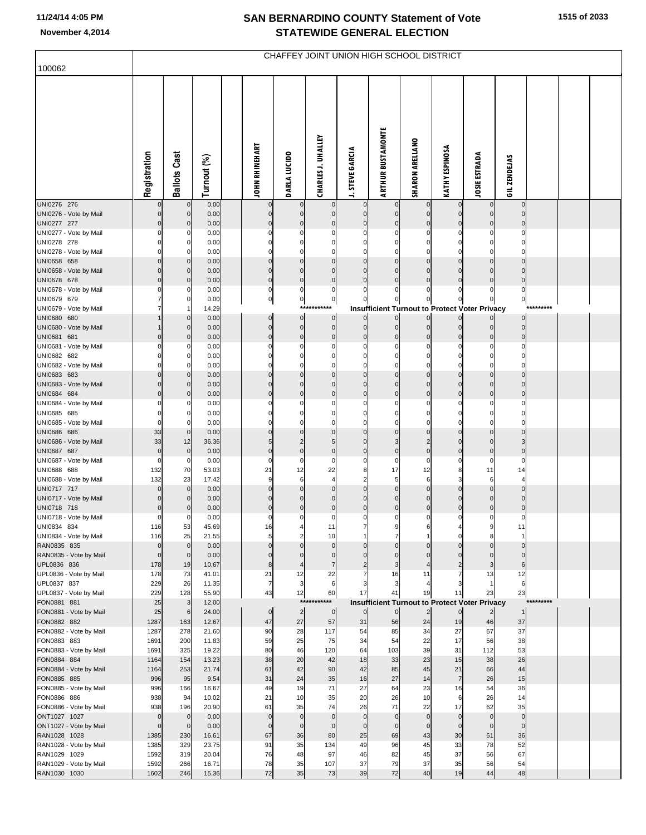|                                        | CHAFFEY JOINT UNION HIGH SCHOOL DISTRICT |                            |                |  |                            |                               |                             |                               |                            |                             |                       |                                                                        |                   |           |  |
|----------------------------------------|------------------------------------------|----------------------------|----------------|--|----------------------------|-------------------------------|-----------------------------|-------------------------------|----------------------------|-----------------------------|-----------------------|------------------------------------------------------------------------|-------------------|-----------|--|
| 100062                                 |                                          |                            |                |  |                            |                               |                             |                               |                            |                             |                       |                                                                        |                   |           |  |
|                                        | Registration                             | <b>Ballots Cast</b>        | Turnout (%)    |  | <b>JOHN RHINEHART</b>      | <b>DARLA LUCIDO</b>           | <b>CHARLES J. UHALLEY</b>   | <b>J. STEVE GARCIA</b>        | <b>ARTHUR BUSTAMONTE</b>   | <b>SHARON ARELLANO</b>      | <b>KATHY ESPINOSA</b> | <b>JOSIE ESTRADA</b>                                                   | GIL ZENDEJAS      |           |  |
| UNI0276 276                            | 0                                        | $\mathbf 0$                | 0.00           |  |                            | $\mathbf 0$                   | $\Omega$<br>$\Omega$        | $\mathbf 0$                   |                            | $\mathbf 0$<br>$\mathbf{0}$ | $\mathbf 0$           | $\mathbf 0$                                                            | $\Omega$          |           |  |
| UNI0276 - Vote by Mail<br>UNI0277 277  | $\Omega$                                 | $\mathbf 0$<br>$\mathbf 0$ | 0.00<br>0.00   |  | $\mathbf 0$<br>$\mathbf 0$ | $\mathbf 0$<br>$\mathbf 0$    | $\mathcal{C}$               | $\mathbf 0$<br>$\mathbf 0$    | $\mathbf 0$<br>$\mathbf 0$ | $\mathbf 0$                 | $\Omega$              | $\mathbf 0$<br>$\mathbf 0$                                             |                   |           |  |
| UNI0277 - Vote by Mail                 | 0                                        | 0                          | 0.00           |  | $\Omega$                   | 0                             | C                           | 0                             | $\mathbf 0$                | $\mathbf 0$                 |                       | 0                                                                      |                   |           |  |
| UNI0278 278                            |                                          | $\Omega$                   | 0.00           |  | 0                          | 0                             | C                           | 0                             | C                          | $\Omega$                    |                       | $\Omega$                                                               |                   |           |  |
| UNI0278 - Vote by Mail<br>UNI0658 658  | O                                        | 0<br>$\Omega$              | 0.00<br>0.00   |  | $\Omega$<br>$\Omega$       | $\Omega$<br>$\mathbf 0$       | $\Omega$<br>C               | $\mathbf 0$<br>$\Omega$       | $\Omega$<br>C              | $\mathbf 0$<br>$\Omega$     |                       | $\mathbf 0$<br>$\mathbf{0}$                                            |                   |           |  |
| UNI0658 - Vote by Mail                 | $\Omega$                                 | $\mathbf 0$                | 0.00           |  | $\mathbf 0$                | $\mathbf 0$                   | $\Omega$                    | $\mathbf 0$                   | $\mathcal{C}$              | $\mathbf{0}$                |                       | $\mathbf{0}$                                                           |                   |           |  |
| UNI0678 678                            | 0                                        | $\mathbf 0$                | 0.00           |  | $\mathbf 0$                | $\bf 0$                       | $\mathsf{C}$                | $\mathbf 0$                   | $\mathcal{C}$              | $\Omega$                    |                       | $\mathbf{0}$                                                           |                   |           |  |
| UNI0678 - Vote by Mail                 | 0                                        | 0                          | 0.00           |  | $\pmb{0}$                  | $\pmb{0}$                     | 0                           | 0                             | $\Omega$                   | $\Omega$                    |                       | $\mathbf 0$                                                            | 0                 |           |  |
| UNI0679 679                            |                                          | $\Omega$                   | 0.00           |  | $\pmb{0}$                  | $\pmb{0}$                     | $\pmb{0}$<br>***********    | 0                             | 0                          | $\overline{0}$              | 0                     | 0                                                                      | 0                 | ********* |  |
| UNI0679 - Vote by Mail<br>UNI0680 680  |                                          | 0                          | 14.29<br>0.00  |  | $\mathbf 0$                | $\pmb{0}$                     | $\mathbf 0$                 | $\Omega$                      | $\Omega$                   | $\overline{0}$              | $\overline{0}$        | <b>Insufficient Turnout to Protect Voter Privacy</b><br>$\overline{0}$ |                   |           |  |
| UNI0680 - Vote by Mail                 |                                          | $\mathbf 0$                | 0.00           |  | $\mathbf 0$                | $\pmb{0}$                     | $\mathbf 0$                 | $\mathbf 0$                   | $\mathbf 0$                | $\mathbf 0$                 | $\mathbf 0$           | $\overline{0}$                                                         | $\mathbf 0$       |           |  |
| UNI0681 681                            | 0                                        | $\Omega$                   | 0.00           |  | $\mathbf 0$                | $\bf 0$                       | $\mathbf 0$                 | $\mathbf 0$                   | $\mathcal{C}$              | $\Omega$                    | $\Omega$              | $\mathbf 0$                                                            | $\Omega$          |           |  |
| UNI0681 - Vote by Mail                 | 0                                        | 0                          | 0.00           |  | $\Omega$                   | 0                             | C                           | 0                             | C                          | $\Omega$                    | 0                     | 0                                                                      |                   |           |  |
| UNI0682 682<br>UNI0682 - Vote by Mail  | O                                        | $\Omega$<br>$\Omega$       | 0.00<br>0.00   |  | 0<br>$\Omega$              | $\Omega$<br>$\Omega$          | C<br>$\Omega$               | 0<br>$\Omega$                 | $\mathsf{C}$<br>$\Omega$   | $\Omega$<br>$\mathbf 0$     | 0<br>$\Omega$         | 0<br>$\mathbf 0$                                                       |                   |           |  |
| UNI0683 683                            |                                          | $\Omega$                   | 0.00           |  | $\Omega$                   | $\mathbf 0$                   | C                           | $\Omega$                      | $\mathcal{C}$              | $\Omega$                    | $\Omega$              | $\mathbf{0}$                                                           |                   |           |  |
| UNI0683 - Vote by Mail                 | 0                                        | $\mathbf 0$                | 0.00           |  | $\Omega$                   | $\mathbf 0$                   | $\Omega$                    | $\mathbf 0$                   | $\Omega$                   | $\mathbf 0$                 | $\Omega$              | $\mathbf 0$                                                            |                   |           |  |
| UNI0684 684                            | 0                                        | $\Omega$                   | 0.00           |  | $\Omega$                   | $\mathbf 0$                   | $\mathsf{C}$                | $\mathbf 0$                   | $\mathsf{C}$               | $\pmb{0}$                   | $\Omega$              | $\mathbf{0}$                                                           |                   |           |  |
| UNI0684 - Vote by Mail                 | 0                                        | 0                          | 0.00           |  | $\Omega$                   | 0<br>$\Omega$                 | $\mathbf 0$<br>$\mathsf{C}$ | 0<br>$\Omega$                 | C<br>$\mathsf{C}$          | $\Omega$<br>$\Omega$        | 0                     | 0                                                                      | $\Omega$          |           |  |
| UNI0685 685<br>UNI0685 - Vote by Mail  | 0                                        | $\Omega$<br>$\Omega$       | 0.00<br>0.00   |  | 0<br>$\Omega$              | $\Omega$                      | $\Omega$                    | $\Omega$                      | $\mathsf{C}$               | $\Omega$                    |                       | $\mathbf 0$                                                            |                   |           |  |
| UNI0686 686                            | 33                                       | $\mathbf 0$                | 0.00           |  | $\Omega$                   | $\mathbf 0$                   | C                           | $\Omega$                      | $\mathcal{C}$              | $\mathbf{0}$                |                       | $\mathbf{0}$                                                           |                   |           |  |
| UNI0686 - Vote by Mail                 | 33                                       | 12                         | 36.36          |  | 5                          | $\overline{2}$                | 5                           | $\mathbf 0$                   | 3                          | $\overline{2}$              | $\Omega$              | $\mathbf 0$                                                            |                   |           |  |
| UNI0687 687                            | $\mathbf 0$                              | $\mathbf 0$                | 0.00           |  | $\mathbf 0$                | $\bf 0$                       | $\mathsf{C}$                | $\mathbf 0$                   | C                          | $\mathbf 0$                 | $\mathbf 0$           | $\mathbf 0$                                                            | $\Omega$          |           |  |
| UNI0687 - Vote by Mail<br>UNI0688 688  | 0<br>132                                 | 0<br>70                    | 0.00<br>53.03  |  | $\Omega$<br>21             | 0<br>12                       | C<br>22                     | 0<br>8                        | $\mathbf 0$<br>17          | 0<br>12                     | 0<br>8                | $\mathbf 0$<br>11                                                      | 0<br>14           |           |  |
| UNI0688 - Vote by Mail                 | 132                                      | 23                         | 17.42          |  | 9                          | 6                             | $\overline{4}$              | $\overline{2}$                | 5                          | 6                           |                       | 6                                                                      |                   |           |  |
| UNI0717 717                            | 0                                        | $\mathbf 0$                | 0.00           |  | $\Omega$                   | $\mathbf 0$                   | $\Omega$                    | $\Omega$                      | $\Omega$                   | $\mathbf 0$                 |                       | $\mathbf 0$                                                            |                   |           |  |
| UNI0717 - Vote by Mail                 | 0                                        | $\mathbf 0$                | 0.00           |  | $\Omega$                   | $\mathbf 0$                   | $\mathcal{C}$               | $\Omega$                      | $\mathcal{C}$              | $\Omega$                    |                       | $\mathbf 0$                                                            |                   |           |  |
| UNI0718 718<br>UNI0718 - Vote by Mail  | 0<br>$\pmb{0}$                           | $\Omega$<br>$\mathbf 0$    | 0.00<br>0.00   |  | $\mathbf 0$<br>$\mathbf 0$ | $\bf 0$<br>$\mathbf 0$        | $\mathbf 0$<br>$\mathbf 0$  | $\mathbf 0$<br>$\mathbf 0$    | $\mathbf 0$<br>$\mathbf 0$ | $\mathbf 0$<br>$\Omega$     | $\Omega$<br>0         | $\mathbf 0$<br>$\Omega$                                                | $\mathbf 0$       |           |  |
| UNI0834 834                            | 116                                      | 53                         | 45.69          |  | 16                         |                               | 11                          | 7                             | 9                          | 6                           |                       | 9                                                                      | 11                |           |  |
| UNI0834 - Vote by Mail                 | 116                                      | 25                         | 21.55          |  | 5                          | $\overline{2}$                | 10                          | $\mathbf{1}$                  | 7                          |                             | O                     | 8                                                                      | $\mathbf{1}$      |           |  |
| RAN0835 835                            | $\mathbf 0$                              | $\mathbf 0$                | 0.00           |  | $\Omega$                   | $\Omega$                      | $\Omega$                    | $\Omega$                      |                            | $\Omega$                    |                       | $\Omega$                                                               | $\mathbf 0$       |           |  |
| RAN0835 - Vote by Mail<br>UPL0836 836  | $\mathbf 0$<br>178                       | $\mathbf 0$<br>19          | 0.00<br>10.67  |  | $\mathbf 0$<br>8           | $\mathbf 0$<br>$\overline{4}$ | $\Omega$<br>$\overline{7}$  | $\mathbf 0$<br>$\overline{2}$ | $\Omega$<br>3              | $\Omega$                    | $\Omega$              | $\mathbf 0$<br>3                                                       | $\mathbf 0$<br>6  |           |  |
| UPL0836 - Vote by Mail                 | 178                                      | 73                         | 41.01          |  | 21                         | 12                            | 22                          | $\overline{7}$                | 16                         | 11                          |                       | 13                                                                     | 12                |           |  |
| UPL0837 837                            | 229                                      | 26                         | 11.35          |  | $\overline{7}$             | 3                             | 6                           | 3                             | 3                          |                             |                       | $\mathbf{1}$                                                           | 6                 |           |  |
| UPL0837 - Vote by Mail                 | 229                                      | 128                        | 55.90          |  | 43                         | 12                            | 60<br>***********           | 17                            | 41                         | 19                          | 11                    | 23                                                                     | 23                | ********* |  |
| FON0881 881<br>FON0881 - Vote by Mail  | 25<br>25                                 | $\mathbf{3}$<br>6          | 12.00<br>24.00 |  | $\mathbf 0$                | $\overline{2}$                | $\mathbf 0$                 | $\mathbf 0$                   | $\mathbf 0$                | 2                           | $\overline{0}$        | <b>Insufficient Turnout to Protect Voter Privacy</b><br>$\overline{2}$ | 1                 |           |  |
| FON0882 882                            | 1287                                     | 163                        | 12.67          |  | 47                         | 27                            | 57                          | 31                            | 56                         | 24                          | 19                    | 46                                                                     | 37                |           |  |
| FON0882 - Vote by Mail                 | 1287                                     | 278                        | 21.60          |  | 90                         | 28                            | 117                         | 54                            | 85                         | 34                          | 27                    | 67                                                                     | 37                |           |  |
| FON0883 883                            | 1691                                     | 200                        | 11.83          |  | 59                         | 25                            | 75                          | 34                            | 54                         | 22                          | 17                    | 56                                                                     | 38                |           |  |
| FON0883 - Vote by Mail<br>FON0884 884  | 1691<br>1164                             | 325<br>154                 | 19.22<br>13.23 |  | 80<br>38                   | 46<br>20                      | 120<br>42                   | 64<br>18                      | 103<br>33                  | 39<br>23                    | 31<br>15              | 112<br>38                                                              | 53<br>26          |           |  |
| FON0884 - Vote by Mail                 | 1164                                     | 253                        | 21.74          |  | 61                         | 42                            | 90                          | 42                            | 85                         | 45                          | 21                    | 66                                                                     | 44                |           |  |
| FON0885 885                            | 996                                      | 95                         | 9.54           |  | 31                         | 24                            | 35                          | 16                            | 27                         | 14                          | $\overline{7}$        | 26                                                                     | 15                |           |  |
| FON0885 - Vote by Mail                 | 996                                      | 166                        | 16.67          |  | 49                         | 19                            | 71                          | 27                            | 64                         | 23                          | 16                    | 54                                                                     | 36                |           |  |
| FON0886 886                            | 938                                      | 94                         | 10.02          |  | 21                         | 10                            | 35                          | 20                            | 26                         | 10                          | 6                     | 26                                                                     | 14                |           |  |
| FON0886 - Vote by Mail<br>ONT1027 1027 | 938<br>$\mathbf 0$                       | 196<br>$\mathbf{0}$        | 20.90<br>0.00  |  | 61<br>$\mathbf 0$          | 35<br>$\mathbf 0$             | 74<br>$\mathbf 0$           | 26<br>$\mathbf 0$             | 71<br>$\mathbf 0$          | 22<br>$\mathbf{0}$          | 17<br>$\mathbf 0$     | 62<br>$\Omega$                                                         | 35<br>$\mathbf 0$ |           |  |
| ONT1027 - Vote by Mail                 | $\mathbf 0$                              | $\mathbf 0$                | 0.00           |  | $\mathbf 0$                | $\mathbf 0$                   | $\mathbf 0$                 | $\mathbf 0$                   | $\mathbf 0$                | $\mathbf 0$                 | $\mathbf{0}$          | $\Omega$                                                               | $\mathbf{0}$      |           |  |
| RAN1028 1028                           | 1385                                     | 230                        | 16.61          |  | 67                         | 36                            | 80                          | 25                            | 69                         | 43                          | 30                    | 61                                                                     | 36                |           |  |
| RAN1028 - Vote by Mail                 | 1385                                     | 329                        | 23.75          |  | 91                         | 35                            | 134                         | 49                            | 96                         | 45                          | 33                    | 78                                                                     | 52                |           |  |
| RAN1029 1029<br>RAN1029 - Vote by Mail | 1592<br>1592                             | 319<br>266                 | 20.04<br>16.71 |  | 76<br>78                   | 48<br>35                      | 97<br>107                   | 46<br>37                      | 82<br>79                   | 45<br>37                    | 37<br>35              | 56<br>56                                                               | 67<br>54          |           |  |
| RAN1030 1030                           | 1602                                     | 246                        | 15.36          |  | 72                         | 35                            | 73                          | 39                            | 72                         | 40                          | 19                    | 44                                                                     | 48                |           |  |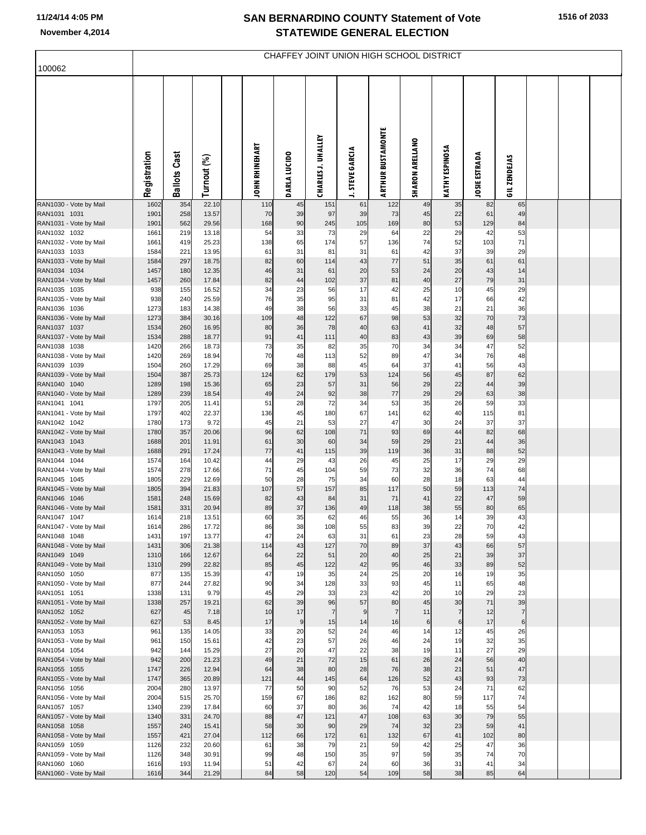| 100062                                 | CHAFFEY JOINT UNION HIGH SCHOOL DISTRICT |                     |                |  |                       |                      |                           |                        |                          |                        |                       |                      |                |  |  |  |
|----------------------------------------|------------------------------------------|---------------------|----------------|--|-----------------------|----------------------|---------------------------|------------------------|--------------------------|------------------------|-----------------------|----------------------|----------------|--|--|--|
|                                        |                                          |                     |                |  |                       |                      |                           |                        |                          |                        |                       |                      |                |  |  |  |
|                                        | Registration                             | <b>Ballots Cast</b> | Turnout (%)    |  | <b>JOHN RHINEHART</b> | DARLA LUCIDO         | <b>CHARLES J. UHALLEY</b> | <b>J. STEVE GARCIA</b> | <b>ARTHUR BUSTAMONTE</b> | <b>SHARON ARELLANO</b> | <b>KATHY ESPINOSA</b> | <b>JOSIE ESTRADA</b> | GIL ZENDEJAS   |  |  |  |
| RAN1030 - Vote by Mail                 | 1602                                     | 354                 | 22.10          |  | 110                   | 45                   | 151                       | 61                     | 122                      | 49                     | 35                    | 82<br>61             | 65             |  |  |  |
| RAN1031 1031<br>RAN1031 - Vote by Mail | 1901<br>1901                             | 258<br>562          | 13.57<br>29.56 |  | 70<br>168             | 39<br>90             | 97<br>245                 | 39<br>105              | 73<br>169                | 45<br>80               | 22<br>53              | 129                  | 49<br>84       |  |  |  |
| RAN1032 1032                           | 1661                                     | 219                 | 13.18          |  | 54                    | 33                   | 73                        | 29                     | 64                       | 22                     | 29                    | 42                   | 53             |  |  |  |
| RAN1032 - Vote by Mail<br>RAN1033 1033 | 1661<br>1584                             | 419<br>221          | 25.23<br>13.95 |  | 138<br>61             | 65<br>31             | 174<br>81                 | 57<br>31               | 136<br>61                | 74<br>42               | 52<br>37              | 103<br>39            | 71<br>29       |  |  |  |
| RAN1033 - Vote by Mail                 | 1584                                     | 297                 | 18.75          |  | 82                    | 60                   | 114                       | 43                     | 77                       | 51                     | 35                    | 61                   | 61             |  |  |  |
| RAN1034 1034                           | 1457<br>1457                             | 180                 | 12.35          |  | 46<br>82              | 31                   | 61<br>102                 | 20                     | 53<br>81                 | 24                     | 20<br>27              | 43<br>79             | 14<br>31       |  |  |  |
| RAN1034 - Vote by Mail<br>RAN1035 1035 | 938                                      | 260<br>155          | 17.84<br>16.52 |  | 34                    | 44<br>23             | 56                        | 37<br>17               | 42                       | 40<br>25               | 10                    | 45                   | 29             |  |  |  |
| RAN1035 - Vote by Mail                 | 938                                      | 240                 | 25.59          |  | 76                    | 35                   | 95                        | 31                     | 81                       | 42                     | 17                    | 66                   | 42             |  |  |  |
| RAN1036 1036<br>RAN1036 - Vote by Mail | 1273<br>1273                             | 183<br>384          | 14.38<br>30.16 |  | 49<br>109             | 38<br>48             | 56<br>122                 | 33<br>67               | 45<br>98                 | 38<br>53               | 21<br>32              | 21<br>70             | 36<br>73       |  |  |  |
| RAN1037 1037                           | 1534                                     | 260                 | 16.95          |  | 80                    | 36                   | 78                        | 40                     | 63                       | 41                     | 32                    | 48                   | 57             |  |  |  |
| RAN1037 - Vote by Mail                 | 1534                                     | 288                 | 18.77          |  | 91                    | 41                   | 111                       | 40                     | 83                       | 43                     | 39                    | 69                   | 58             |  |  |  |
| RAN1038 1038<br>RAN1038 - Vote by Mail | 1420<br>1420                             | 266<br>269          | 18.73<br>18.94 |  | 73<br>70              | 35<br>48             | 82<br>113                 | 35<br>52               | 70<br>89                 | 34<br>47               | 34<br>34              | 47<br>76             | 52<br>48       |  |  |  |
| RAN1039 1039                           | 1504                                     | 260                 | 17.29          |  | 69                    | 38                   | 88                        | 45                     | 64                       | 37                     | 41                    | 56                   | 43             |  |  |  |
| RAN1039 - Vote by Mail                 | 1504                                     | 387                 | 25.73          |  | 124                   | 62                   | 179                       | 53                     | 124                      | 56                     | 45                    | 87                   | 62             |  |  |  |
| RAN1040 1040<br>RAN1040 - Vote by Mail | 1289<br>1289                             | 198<br>239          | 15.36<br>18.54 |  | 65<br>49              | 23<br>24             | 57<br>92                  | 31<br>38               | 56<br>$77$               | 29<br>29               | 22<br>29              | 44<br>63             | 39<br>38       |  |  |  |
| RAN1041 1041                           | 1797                                     | 205                 | 11.41          |  | 51                    | 28                   | 72                        | 34                     | 53                       | 35                     | 26                    | 59                   | 33             |  |  |  |
| RAN1041 - Vote by Mail<br>RAN1042 1042 | 1797<br>1780                             | 402<br>173          | 22.37<br>9.72  |  | 136<br>45             | 45<br>21             | 180<br>53                 | 67<br>27               | 141<br>47                | 62<br>30               | 40<br>24              | 115<br>37            | 81<br>37       |  |  |  |
| RAN1042 - Vote by Mail                 | 1780                                     | 357                 | 20.06          |  | 96                    | 62                   | 108                       | 71                     | 93                       | 69                     | 44                    | 82                   | 68             |  |  |  |
| RAN1043 1043                           | 1688                                     | 201                 | 11.91          |  | 61                    | 30                   | 60                        | 34                     | 59                       | 29                     | 21                    | 44                   | 36             |  |  |  |
| RAN1043 - Vote by Mail<br>RAN1044 1044 | 1688<br>1574                             | 291<br>164          | 17.24<br>10.42 |  | 77<br>44              | 41<br>29             | 115<br>43                 | 39<br>26               | 119<br>45                | 36<br>25               | 31<br>17              | 88<br>29             | 52<br>29       |  |  |  |
| RAN1044 - Vote by Mail                 | 1574                                     | 278                 | 17.66          |  | 71                    | 45                   | 104                       | 59                     | 73                       | 32                     | 36                    | 74                   | 68             |  |  |  |
| RAN1045 1045                           | 1805<br>1805                             | 229<br>394          | 12.69<br>21.83 |  | 50<br>107             | 28<br>57             | 75<br>157                 | 34<br>85               | 60<br>117                | 28<br>50               | 18<br>59              | 63<br>113            | 44<br>74       |  |  |  |
| RAN1045 - Vote by Mail<br>RAN1046 1046 | 1581                                     | 248                 | 15.69          |  | 82                    | 43                   | 84                        | 31                     | 71                       | 41                     | 22                    | 47                   | 59             |  |  |  |
| RAN1046 - Vote by Mail                 | 1581                                     | 331                 | 20.94          |  | 89                    | 37                   | 136                       | 49                     | 118                      | 38                     | 55                    | 80                   | 65             |  |  |  |
| RAN1047 1047<br>RAN1047 - Vote by Mail | 1614<br>1614                             | 218<br>286          | 13.51<br>17.72 |  | 60<br>86              | 35<br>38             | 62<br>108                 | 46<br>55               | 55<br>83                 | 36<br>39               | 14<br>22              | 39<br>70             | 43<br>42       |  |  |  |
| RAN1048 1048                           | 1431                                     | 197                 | 13.77          |  | 47                    | 24                   | 63                        | 31                     | 61                       | 23                     | 28                    | 59                   | 43             |  |  |  |
| RAN1048 - Vote by Mail                 | 1431                                     | 306                 | 21.38          |  | 114                   | 43                   | 127                       | 70                     | 89                       | 37                     | 43                    | 66                   | 57             |  |  |  |
| RAN1049 1049<br>RAN1049 - Vote by Mail | 1310<br>1310                             | 166<br>299          | 12.67<br>22.82 |  | 64<br>85              | 22<br>45             | 51<br>122                 | 20<br>42               | 40<br>95                 | 25<br>46               | 21<br>33              | 39<br>89             | 37<br>52       |  |  |  |
| RAN1050 1050                           | 877                                      | 135                 | 15.39          |  | 47                    | 19                   | 35                        | 24                     | 25                       | 20                     | 16                    | 19                   | 35             |  |  |  |
| RAN1050 - Vote by Mail<br>RAN1051 1051 | 877<br>1338                              | 244<br>131          | 27.82<br>9.79  |  | 90<br>45              | 34<br>29             | 128<br>33                 | 33<br>23               | 93<br>42                 | 45<br>20               | 11<br>10              | 65<br>29             | 48<br>23       |  |  |  |
| RAN1051 - Vote by Mail                 | 1338                                     | 257                 | 19.21          |  | 62                    | 39                   | 96                        | 57                     | 80                       | 45                     | 30                    | 71                   | 39             |  |  |  |
| RAN1052 1052                           | 627                                      | 45                  | 7.18           |  | 10                    | 17                   | $\overline{7}$            | 9                      | $\overline{7}$           | 11                     | $\overline{7}$        | 12                   | $\overline{7}$ |  |  |  |
| RAN1052 - Vote by Mail<br>RAN1053 1053 | 627<br>961                               | 53<br>135           | 8.45<br>14.05  |  | 17<br>33              | $\overline{9}$<br>20 | 15<br>52                  | 14<br>24               | 16<br>46                 | 6<br>14                | 6<br>12               | 17<br>45             | 6<br>26        |  |  |  |
| RAN1053 - Vote by Mail                 | 961                                      | 150                 | 15.61          |  | 42                    | 23                   | 57                        | 26                     | 46                       | 24                     | 19                    | 32                   | 35             |  |  |  |
| RAN1054 1054                           | 942<br>942                               | 144                 | 15.29<br>21.23 |  | 27<br>49              | 20<br>21             | 47<br>72                  | 22<br>15               | 38<br>61                 | 19<br>26               | 11<br>24              | 27<br>56             | 29<br>40       |  |  |  |
| RAN1054 - Vote by Mail<br>RAN1055 1055 | 1747                                     | 200<br>226          | 12.94          |  | 64                    | 38                   | 80                        | 28                     | 76                       | 38                     | 21                    | 51                   | 47             |  |  |  |
| RAN1055 - Vote by Mail                 | 1747                                     | 365                 | 20.89          |  | 121                   | 44                   | 145                       | 64                     | 126                      | 52                     | 43                    | 93                   | 73             |  |  |  |
| RAN1056 1056<br>RAN1056 - Vote by Mail | 2004<br>2004                             | 280<br>515          | 13.97<br>25.70 |  | 77<br>159             | 50<br>67             | 90<br>186                 | 52<br>82               | 76<br>162                | 53<br>80               | 24<br>59              | 71<br>117            | 62<br>74       |  |  |  |
| RAN1057 1057                           | 1340                                     | 239                 | 17.84          |  | 60                    | 37                   | 80                        | 36                     | 74                       | 42                     | 18                    | 55                   | 54             |  |  |  |
| RAN1057 - Vote by Mail                 | 1340                                     | 331                 | 24.70          |  | 88                    | 47                   | 121                       | 47                     | 108                      | 63                     | 30                    | 79                   | 55             |  |  |  |
| RAN1058 1058<br>RAN1058 - Vote by Mail | 1557<br>1557                             | 240<br>421          | 15.41<br>27.04 |  | 58<br>112             | 30<br>66             | 90<br>172                 | 29<br>61               | 74<br>132                | 32<br>67               | 23<br>41              | 59<br>102            | 41<br>80       |  |  |  |
| RAN1059 1059                           | 1126                                     | 232                 | 20.60          |  | 61                    | 38                   | 79                        | 21                     | 59                       | 42                     | 25                    | 47                   | 36             |  |  |  |
| RAN1059 - Vote by Mail                 | 1126                                     | 348                 | 30.91          |  | 99                    | 48                   | 150                       | 35                     | 97                       | 59                     | 35                    | 74                   | 70             |  |  |  |
| RAN1060 1060<br>RAN1060 - Vote by Mail | 1616<br>1616                             | 193<br>344          | 11.94<br>21.29 |  | 51<br>84              | 42<br>58             | 67<br>120                 | 24<br>54               | 60<br>109                | 36<br>58               | 31<br>38              | 41<br>85             | 34<br>64       |  |  |  |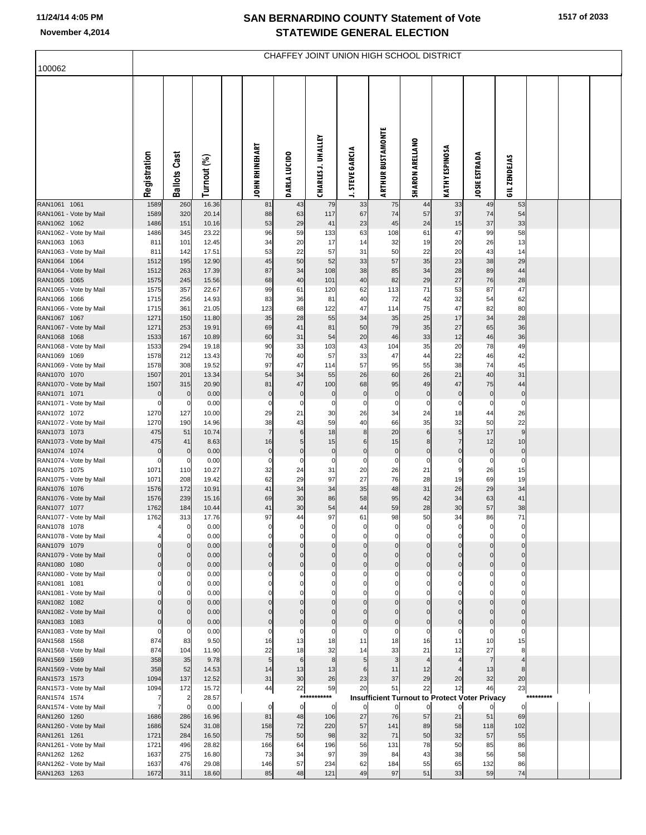|                                        | CHAFFEY JOINT UNION HIGH SCHOOL DISTRICT |                                  |                |  |                             |                      |                           |                      |                          |                            |                              |                                                      |                         |           |  |  |
|----------------------------------------|------------------------------------------|----------------------------------|----------------|--|-----------------------------|----------------------|---------------------------|----------------------|--------------------------|----------------------------|------------------------------|------------------------------------------------------|-------------------------|-----------|--|--|
| 100062                                 |                                          |                                  |                |  |                             |                      |                           |                      |                          |                            |                              |                                                      |                         |           |  |  |
|                                        | Registration                             | <b>Ballots Cast</b>              | Turnout (%)    |  | <b>JOHN RHINEHART</b>       | <b>DARLA LUCIDO</b>  | <b>CHARLES J. UHALLEY</b> | <b>STEVE GARCIA</b>  | <b>ARTHUR BUSTAMONTE</b> | <b>SHARON ARELLANO</b>     | KATHY ESPINOSA               | <b>JOSIE ESTRADA</b>                                 | GIL ZENDEJAS            |           |  |  |
| RAN1061 1061                           | 1589                                     | 260                              | 16.36          |  | 81                          | 43                   | 79                        | 33                   | 75                       | 44                         | 33                           | 49                                                   | 53                      |           |  |  |
| RAN1061 - Vote by Mail<br>RAN1062 1062 | 1589<br>1486                             | 320<br>151                       | 20.14<br>10.16 |  | 88<br>53                    | 63<br>29             | 117<br>41                 | 67<br>23             | 74<br>45                 | 57<br>24                   | 37<br>15                     | 74<br>37                                             | 54<br>33                |           |  |  |
| RAN1062 - Vote by Mail                 | 1486                                     | 345                              | 23.22          |  | 96                          | 59                   | 133                       | 63                   | 108                      | 61                         | 47                           | 99                                                   | 58                      |           |  |  |
| RAN1063 1063                           | 811                                      | 101                              | 12.45          |  | 34<br>53                    | 20                   | 17<br>57                  | 14                   | 32                       | 19                         | 20                           | 26                                                   | 13                      |           |  |  |
| RAN1063 - Vote by Mail<br>RAN1064 1064 | 811<br>1512                              | 142<br>195                       | 17.51<br>12.90 |  | 45                          | 22<br>50             | 52                        | 31<br>33             | 50<br>57                 | 22<br>35                   | 20<br>23                     | 43<br>38                                             | 14<br>29                |           |  |  |
| RAN1064 - Vote by Mail                 | 1512                                     | 263                              | 17.39          |  | 87                          | 34                   | 108                       | 38                   | 85                       | 34                         | 28                           | 89                                                   | 44                      |           |  |  |
| RAN1065 1065                           | 1575                                     | 245                              | 15.56          |  | 68                          | 40                   | 101                       | 40                   | 82                       | 29                         | 27                           | 76                                                   | 28                      |           |  |  |
| RAN1065 - Vote by Mail<br>RAN1066 1066 | 1575<br>1715                             | 357                              | 22.67          |  | 99<br>83                    | 61<br>36             | 120<br>81                 | 62                   | 113<br>72                | 71<br>42                   | 53                           | 87<br>54                                             | 47<br>62                |           |  |  |
| RAN1066 - Vote by Mail                 | 1715                                     | 256<br>361                       | 14.93<br>21.05 |  | 123                         | 68                   | 122                       | 40<br>47             | 114                      | 75                         | 32<br>47                     | 82                                                   | 80                      |           |  |  |
| RAN1067 1067                           | 1271                                     | 150                              | 11.80          |  | 35                          | 28                   | 55                        | 34                   | 35                       | 25                         | 17                           | 34                                                   | 28                      |           |  |  |
| RAN1067 - Vote by Mail                 | 1271                                     | 253                              | 19.91          |  | 69                          | 41                   | 81                        | 50                   | 79                       | 35                         | 27                           | 65                                                   | 36                      |           |  |  |
| RAN1068 1068                           | 1533                                     | 167<br>294                       | 10.89          |  | 60                          | 31<br>33             | 54<br>103                 | 20                   | 46                       | 33<br>35                   | 12<br>20                     | 46                                                   | 36                      |           |  |  |
| RAN1068 - Vote by Mail<br>RAN1069 1069 | 1533<br>1578                             | 212                              | 19.18<br>13.43 |  | 90<br>70                    | 40                   | 57                        | 43<br>33             | 104<br>47                | 44                         | 22                           | 78<br>46                                             | 49<br>42                |           |  |  |
| RAN1069 - Vote by Mail                 | 1578                                     | 308                              | 19.52          |  | 97                          | 47                   | 114                       | 57                   | 95                       | 55                         | 38                           | 74                                                   | 45                      |           |  |  |
| RAN1070 1070                           | 1507                                     | 201                              | 13.34          |  | 54                          | 34                   | 55                        | 26                   | 60                       | 26                         | 21                           | 40                                                   | 31                      |           |  |  |
| RAN1070 - Vote by Mail                 | 1507<br>$\pmb{0}$                        | 315                              | 20.90          |  | 81                          | 47                   | 100                       | 68                   | 95                       | 49                         | 47                           | 75                                                   | 44                      |           |  |  |
| RAN1071 1071<br>RAN1071 - Vote by Mail | $\mathbf 0$                              | $\overline{0}$<br>$\overline{0}$ | 0.00<br>0.00   |  | $\overline{0}$<br>$\pmb{0}$ | $\pmb{0}$<br>0       | $\overline{0}$<br>0       | $\pmb{0}$<br>0       | $\pmb{0}$<br>0           | $\pmb{0}$<br>0             | $\mathbf 0$<br>0             | $\mathbf 0$<br>0                                     | $\mathbf 0$<br>0        |           |  |  |
| RAN1072 1072                           | 1270                                     | 127                              | 10.00          |  | 29                          | 21                   | 30                        | 26                   | 34                       | 24                         | 18                           | 44                                                   | 26                      |           |  |  |
| RAN1072 - Vote by Mail                 | 1270                                     | 190                              | 14.96          |  | 38                          | 43                   | 59                        | 40                   | 66                       | 35                         | 32                           | 50                                                   | 22                      |           |  |  |
| RAN1073 1073<br>RAN1073 - Vote by Mail | 475<br>475                               | 51<br>41                         | 10.74<br>8.63  |  | $\overline{7}$<br>16        | 6<br>5 <sub>5</sub>  | 18<br>15                  | $\bf8$<br>6          | 20<br>15                 | $\,6$<br>8                 | $\sqrt{5}$<br>$\overline{7}$ | 17<br>12                                             | 9<br>10                 |           |  |  |
| RAN1074 1074                           | $\mathbf 0$                              | $\overline{0}$                   | 0.00           |  | $\overline{0}$              | $\pmb{0}$            | $\pmb{0}$                 | $\pmb{0}$            | $\pmb{0}$                | $\pmb{0}$                  | $\mathbf 0$                  | $\mathbf 0$                                          | $\overline{0}$          |           |  |  |
| RAN1074 - Vote by Mail                 | $\Omega$                                 | 0                                | 0.00           |  | $\mathbf 0$                 | 0                    | 0                         | 0                    | 0                        | 0                          | 0                            | 0                                                    | 0                       |           |  |  |
| RAN1075 1075                           | 1071                                     | 110                              | 10.27          |  | 32                          | 24                   | 31                        | 20                   | 26                       | 21                         | 9                            | 26                                                   | 15                      |           |  |  |
| RAN1075 - Vote by Mail<br>RAN1076 1076 | 1071<br>1576                             | 208<br>172                       | 19.42<br>10.91 |  | 62<br>41                    | 29<br>34             | 97<br>34                  | 27<br>35             | 76<br>48                 | 28<br>31                   | 19<br>26                     | 69<br>29                                             | 19<br>34                |           |  |  |
| RAN1076 - Vote by Mail                 | 1576                                     | 239                              | 15.16          |  | 69                          | 30                   | 86                        | 58                   | 95                       | 42                         | 34                           | 63                                                   | 41                      |           |  |  |
| RAN1077 1077                           | 1762                                     | 184                              | 10.44          |  | 41                          | 30                   | 54                        | 44                   | 59                       | 28                         | 30                           | 57                                                   | 38                      |           |  |  |
| RAN1077 - Vote by Mail                 | 1762                                     | 313                              | 17.76          |  | 97                          | 44                   | 97                        | 61                   | 98                       | 50                         | 34                           | 86                                                   | 71                      |           |  |  |
| RAN1078 1078<br>RAN1078 - Vote by Mail |                                          | $\mathbf 0$<br>$\mathbf 0$       | 0.00<br>0.00   |  | 0<br>$\Omega$               | 0<br>$\mathbf 0$     | 0<br>$\Omega$             | 0<br>$\mathbf 0$     | $\Omega$                 | 0<br>$\mathbf 0$           | $\mathbf 0$                  | $\Omega$<br>$\Omega$                                 | O<br>$\mathbf 0$        |           |  |  |
| RAN1079 1079                           |                                          | $\Omega$                         | 0.00           |  |                             | $\Omega$             | $\Omega$                  | $\Omega$             | $\mathbf 0$              | $\mathbf 0$                | $\mathbf{0}$                 | $\Omega$                                             | $\Omega$                |           |  |  |
| RAN1079 - Vote by Mail                 | $\Omega$                                 | $\mathbf 0$                      | 0.00           |  | $\Omega$                    | $\Omega$             | $\Omega$                  | $\mathbf 0$          | $\mathbf 0$              | $\mathbf 0$                | $\mathbf{0}$                 | $\Omega$                                             | $\Omega$                |           |  |  |
| RAN1080 1080<br>RAN1080 - Vote by Mail | $\Omega$                                 | $\mathbf 0$<br>$\mathbf 0$       | 0.00<br>0.00   |  |                             | $\Omega$<br>0        | $\Omega$<br>$\Omega$      | $\Omega$<br>$\Omega$ | $\Omega$<br>$\Omega$     | $\mathbf 0$<br>$\mathbf 0$ | $\mathbf 0$<br>$\Omega$      | $\Omega$<br>C                                        | $\Omega$<br>$\Omega$    |           |  |  |
| RAN1081 1081                           |                                          | $\mathbf 0$                      | 0.00           |  |                             | 0                    | $\Omega$                  | $\Omega$             | $\Omega$                 | $\mathbf 0$                | $\Omega$                     | $\Omega$                                             | $\Omega$                |           |  |  |
| RAN1081 - Vote by Mail                 |                                          | $\mathbf{0}$                     | 0.00           |  |                             | O                    | $\Omega$                  | $\Omega$             | $\Omega$                 | $\mathbf 0$                | $\Omega$                     | $\Omega$                                             | $\Omega$                |           |  |  |
| RAN1082 1082                           |                                          | $\mathbf 0$                      | 0.00           |  |                             | $\Omega$             | $\Omega$                  | $\Omega$             | $\mathbf 0$              | $\mathbf 0$                | $\Omega$                     | $\Omega$                                             | $\Omega$                |           |  |  |
| RAN1082 - Vote by Mail<br>RAN1083 1083 |                                          | $\mathbf 0$<br>$\mathbf 0$       | 0.00<br>0.00   |  |                             | $\Omega$<br>$\Omega$ | $\Omega$<br>$\Omega$      | $\Omega$<br>$\Omega$ | $\Omega$<br>$\Omega$     | $\mathbf 0$<br>$\mathbf 0$ | $\Omega$<br>$\Omega$         | $\Omega$<br>$\Omega$                                 | $\Omega$<br>$\mathbf 0$ |           |  |  |
| RAN1083 - Vote by Mail                 | $\Omega$                                 | $\mathbf 0$                      | 0.00           |  | 0                           | $\Omega$             | $\mathbf 0$               | $\mathbf 0$          | $\Omega$                 | $\mathbf 0$                | $\Omega$                     | $\mathbf 0$                                          | $\mathbf 0$             |           |  |  |
| RAN1568 1568                           | 874                                      | 83                               | 9.50           |  | 16                          | 13                   | 18                        | 11                   | 18                       | 16                         | 11                           | 10                                                   | 15                      |           |  |  |
| RAN1568 - Vote by Mail                 | 874<br>358                               | 104<br>35                        | 11.90<br>9.78  |  | 22<br>5                     | 18                   | 32                        | 14                   | 33                       | 21<br>$\overline{4}$       | 12                           | 27<br>$\overline{ }$                                 | 8                       |           |  |  |
| RAN1569 1569<br>RAN1569 - Vote by Mail | 358                                      | 52                               | 14.53          |  | 14                          | 6<br>13              | 8<br>13                   | 5<br>6               | 3<br>11                  | 12                         |                              | 13                                                   | 8                       |           |  |  |
| RAN1573 1573                           | 1094                                     | 137                              | 12.52          |  | 31                          | 30                   | 26                        | 23                   | 37                       | 29                         | 20                           | 32                                                   | 20                      |           |  |  |
| RAN1573 - Vote by Mail                 | 1094                                     | 172                              | 15.72          |  | 44                          | 22                   | 59                        | 20                   | 51                       | 22                         | 12                           | 46                                                   | 23                      |           |  |  |
| RAN1574 1574                           | 7                                        | $\overline{a}$<br>$\overline{0}$ | 28.57<br>0.00  |  | $\Omega$                    | $\overline{0}$       | ***********               |                      |                          |                            |                              | <b>Insufficient Turnout to Protect Voter Privacy</b> |                         | ********* |  |  |
| RAN1574 - Vote by Mail<br>RAN1260 1260 | 7<br>1686                                | 286                              | 16.96          |  | 81                          | 48                   | 0<br>106                  | $\overline{0}$<br>27 | $\mathbf 0$<br>76        | $\overline{0}$<br>57       | $\mathbf 0$<br>21            | 51                                                   | $\mathbf 0$<br>69       |           |  |  |
| RAN1260 - Vote by Mail                 | 1686                                     | 524                              | 31.08          |  | 158                         | 72                   | 220                       | 57                   | 141                      | 89                         | 58                           | 118                                                  | 102                     |           |  |  |
| RAN1261 1261                           | 1721                                     | 284                              | 16.50          |  | 75                          | 50                   | 98                        | 32                   | 71                       | 50                         | 32                           | 57                                                   | 55                      |           |  |  |
| RAN1261 - Vote by Mail                 | 1721                                     | 496                              | 28.82          |  | 166                         | 64<br>34             | 196<br>97                 | 56<br>39             | 131                      | 78                         | 50                           | 85                                                   | 86                      |           |  |  |
| RAN1262 1262<br>RAN1262 - Vote by Mail | 1637<br>1637                             | 275<br>476                       | 16.80<br>29.08 |  | 73<br>146                   | 57                   | 234                       | 62                   | 84<br>184                | 43<br>55                   | 38<br>65                     | 56<br>132                                            | 58<br>86                |           |  |  |
| RAN1263 1263                           | 1672                                     | 311                              | 18.60          |  | 85                          | 48                   | 121                       | 49                   | 97                       | 51                         | 33                           | 59                                                   | 74                      |           |  |  |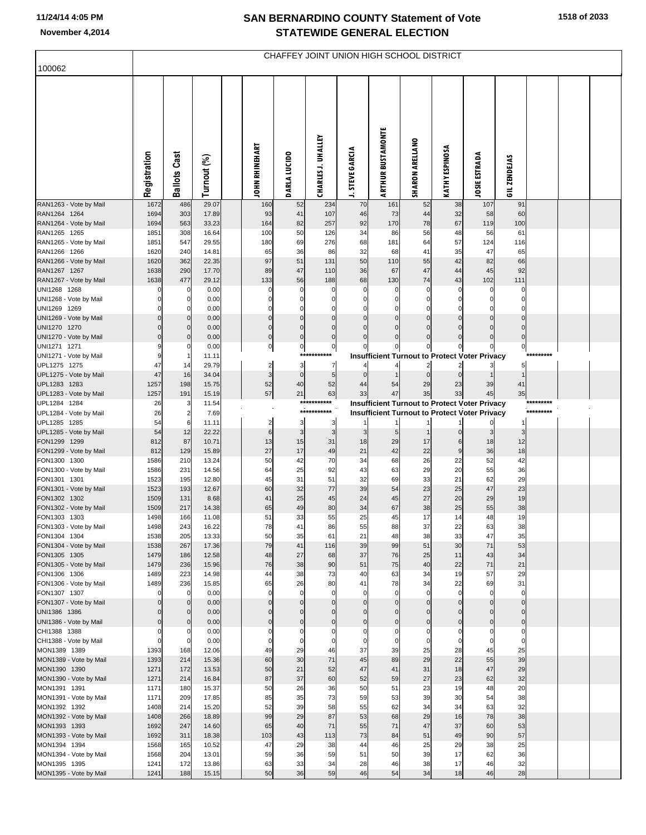| 100062                                 | CHAFFEY JOINT UNION HIGH SCHOOL DISTRICT |                         |                |  |                                  |                      |                           |                                      |                          |                                        |                                                      |                      |               |           |  |
|----------------------------------------|------------------------------------------|-------------------------|----------------|--|----------------------------------|----------------------|---------------------------|--------------------------------------|--------------------------|----------------------------------------|------------------------------------------------------|----------------------|---------------|-----------|--|
|                                        | Registration                             | <b>Ballots Cast</b>     | Turnout (%)    |  | <b>JOHN RHINEHART</b>            | DARLA LUCIDO         | <b>CHARLES J. UHALLEY</b> | <b>STEVE GARCIA</b><br>$\rightarrow$ | <b>ARTHUR BUSTAMONTE</b> | SHARON ARELLANO                        | KATHY ESPINOSA                                       | <b>JOSIE ESTRADA</b> | GIL ZENDEJAS  |           |  |
| RAN1263 - Vote by Mail<br>RAN1264 1264 | 1672<br>1694                             | 486<br>303              | 29.07<br>17.89 |  | 160<br>93                        | 52<br>41             | 234<br>107                | 70<br>46                             | 161<br>73                | 52<br>44                               | 38<br>32                                             | 107<br>58            | 91<br>60      |           |  |
| RAN1264 - Vote by Mail                 | 1694                                     | 563                     | 33.23          |  | 164                              | 82                   | 257                       | 92                                   | 170                      | 78                                     | 67                                                   | 119                  | 100           |           |  |
| RAN1265 1265                           | 1851                                     | 308                     | 16.64          |  | 100                              | 50                   | 126                       | 34                                   | 86                       | 56                                     | 48                                                   | 56                   | 61            |           |  |
| RAN1265 - Vote by Mail                 | 1851                                     | 547                     | 29.55          |  | 180                              | 69                   | 276                       | 68                                   | 181                      | 64                                     | 57                                                   | 124                  | 116           |           |  |
| RAN1266 1266<br>RAN1266 - Vote by Mail | 1620<br>1620                             | 240<br>362              | 14.81<br>22.35 |  | 65<br>97                         | 36<br>51             | 86<br>131                 | 32<br>50                             | 68<br>110                | 41<br>55                               | 35<br>42                                             | 47<br>82             | 65<br>66      |           |  |
| RAN1267 1267                           | 1638                                     | 290                     | 17.70          |  | 89                               | 47                   | 110                       | 36                                   | 67                       | 47                                     | 44                                                   | 45                   | 92            |           |  |
| RAN1267 - Vote by Mail                 | 1638                                     | 477                     | 29.12          |  | 133                              | 56                   | 188                       | 68                                   | 130                      | 74                                     | 43                                                   | 102                  | 111           |           |  |
| UNI1268 1268                           |                                          | 0                       | 0.00           |  | $\Omega$                         | O                    | $\mathbf{0}$              | 0                                    | 0                        | 0                                      | $\Omega$                                             | 0                    |               |           |  |
| UNI1268 - Vote by Mail                 |                                          | 0                       | 0.00           |  | O                                | 0                    | 0                         | 0                                    | 0                        | 0                                      | $\Omega$                                             | 0                    |               |           |  |
| UNI1269 1269<br>UNI1269 - Vote by Mail |                                          | 0<br>0                  | 0.00<br>0.00   |  | $\overline{0}$                   | U<br>0               | $\Omega$<br>$\mathbf 0$   | $\Omega$<br>$\mathbf 0$              | 0<br>$\pmb{0}$           | $\Omega$<br>$\mathbf 0$                | $\Omega$<br>$\Omega$                                 | $\Omega$             | $\Omega$      |           |  |
| UNI1270 1270                           |                                          | $\mathbf 0$             | 0.00           |  | $\overline{0}$                   | $\Omega$             | $\Omega$                  | $\Omega$                             | $\mathbf 0$              | $\Omega$                               | $\Omega$                                             | $\Omega$             | C             |           |  |
| UNI1270 - Vote by Mail                 |                                          | 0                       | 0.00           |  | $\overline{0}$                   | $\Omega$             | 0                         | $\Omega$                             | $\mathbf 0$              | $\Omega$                               |                                                      | $\Omega$             | $\Omega$      |           |  |
| UNI1271 1271                           |                                          | 0                       | 0.00           |  | $\overline{0}$                   | 0                    | 0                         | 0                                    |                          |                                        |                                                      |                      | 0             |           |  |
| UNI1271 - Vote by Mail                 |                                          | 1                       | 11.11          |  |                                  |                      | ***********               |                                      |                          |                                        | <b>Insufficient Turnout to Protect Voter Privacy</b> |                      |               |           |  |
| UPL1275 1275<br>UPL1275 - Vote by Mail | 47<br>47                                 | 14<br>16                | 29.79<br>34.04 |  | $\overline{2}$<br>$\overline{3}$ | зI<br>$\overline{0}$ | 7<br>5                    | $\overline{4}$<br>$\Omega$           | $\overline{4}$           | $\overline{\mathbf{c}}$<br>$\mathbf 0$ | $\overline{2}$<br>$\mathbf 0$                        | 3                    | 5             |           |  |
| UPL1283 1283                           | 1257                                     | 198                     | 15.75          |  | 52                               | 40                   | 52                        | 44                                   | 54                       | 29                                     | 23                                                   | 39                   | 41            |           |  |
| UPL1283 - Vote by Mail                 | 1257                                     | 191                     | 15.19          |  | 57                               | 21                   | 63                        | 33                                   | 47                       | 35                                     | 33                                                   | 45                   | 35            |           |  |
| UPL1284 1284                           | 26                                       | 3                       | 11.54          |  |                                  |                      | ***********               |                                      |                          |                                        | <b>Insufficient Turnout to Protect Voter Privacy</b> |                      |               | ********* |  |
| UPL1284 - Vote by Mail                 | 26                                       | $\overline{\mathbf{c}}$ | 7.69           |  |                                  | 3                    | ***********               |                                      |                          |                                        | <b>Insufficient Turnout to Protect Voter Privacy</b> |                      |               | ********* |  |
| UPL1285 1285<br>UPL1285 - Vote by Mail | 54<br>54                                 | 6<br>12                 | 11.11<br>22.22 |  | $\overline{2}$<br>6              | 3                    | 3<br>3                    | 3                                    | 5                        |                                        | $\Omega$                                             | 3                    | з             |           |  |
| FON1299 1299                           | 812                                      | 87                      | 10.71          |  | 13                               | 15                   | 31                        | 18                                   | 29                       | 17                                     | 6                                                    | 18                   | 12            |           |  |
| FON1299 - Vote by Mail                 | 812                                      | 129                     | 15.89          |  | 27                               | 17                   | 49                        | 21                                   | 42                       | 22                                     | 9                                                    | 36                   | 18            |           |  |
| FON1300 1300                           | 1586                                     | 210                     | 13.24          |  | 50                               | 42                   | 70                        | 34                                   | 68                       | 26                                     | 22                                                   | 52                   | 42            |           |  |
| FON1300 - Vote by Mail<br>FON1301 1301 | 1586<br>1523                             | 231<br>195              | 14.56<br>12.80 |  | 64<br>45                         | 25<br>31             | 92<br>51                  | 43<br>32                             | 63<br>69                 | 29<br>33                               | 20<br>21                                             | 55<br>62             | 36<br>29      |           |  |
| FON1301 - Vote by Mail                 | 1523                                     | 193                     | 12.67          |  | 60                               | 32                   | 77                        | 39                                   | 54                       | 23                                     | 25                                                   | 47                   | 23            |           |  |
| FON1302 1302                           | 1509                                     | 131                     | 8.68           |  | 41                               | 25                   | 45                        | 24                                   | 45                       | 27                                     | 20                                                   | 29                   | 19            |           |  |
| FON1302 - Vote by Mail                 | 1509                                     | 217                     | 14.38          |  | 65                               | 49                   | 80                        | 34                                   | 67                       | 38                                     | 25                                                   | 55                   | 38            |           |  |
| FON1303 1303                           | 1498                                     | 166                     | 11.08          |  | 51                               | 33                   | 55                        | 25                                   | 45                       | 17                                     | 14                                                   | 48                   | 19            |           |  |
| FON1303 - Vote by Mail<br>FON1304 1304 | 1498<br>1538                             | 243<br>205              | 16.22<br>13.33 |  | 78<br>50                         | 41<br>35             | 86<br>61                  | 55<br>21                             | 88<br>48                 | 37<br>38                               | 22<br>33                                             | 63<br>47             | 38<br>35      |           |  |
| FON1304 - Vote by Mail                 | 1538                                     | 267                     | 17.36          |  | 79                               | 41                   | 116                       | 39                                   | 99                       | 51                                     | 30                                                   | 71                   | 53            |           |  |
| FON1305 1305                           | 1479                                     | 186                     | 12.58          |  | 48                               | 27                   | 68                        | 37                                   | 76                       | 25                                     | 11                                                   | 43                   | 34            |           |  |
| FON1305 - Vote by Mail                 | 1479                                     | 236                     | 15.96          |  | 76                               | 38                   | 90                        | 51                                   | 75                       | 40                                     | 22                                                   | 71                   | 21            |           |  |
| FON1306 1306                           | 1489                                     | 223                     | 14.98          |  | 44                               | 38                   | 73                        | 40                                   | 63                       | 34                                     | 19                                                   | 57                   | 29            |           |  |
| FON1306 - Vote by Mail<br>FON1307 1307 | 1489<br>$\Omega$                         | 236<br>$\mathbf 0$      | 15.85<br>0.00  |  | 65<br>$\mathbf 0$                | 26<br>$\Omega$       | 80<br>$\Omega$            | 41<br>$\mathbf 0$                    | 78<br>$\mathbf 0$        | 34<br>$\Omega$                         | 22<br>$\Omega$                                       | 69                   | 31<br>O       |           |  |
| FON1307 - Vote by Mail                 |                                          | 0                       | 0.00           |  | $\overline{0}$                   | $\Omega$             | 0                         | $\overline{0}$                       | $\pmb{0}$                | $\mathbf 0$                            | $\mathbf 0$                                          | $\mathbf 0$          | $\Omega$      |           |  |
| UNI1386 1386                           |                                          | 0                       | 0.00           |  | $\mathbf{0}$                     | $\Omega$             | $\mathbf 0$               | $\mathbf{0}$                         | $\pmb{0}$                | $\mathbf 0$                            | $\Omega$                                             | $\mathbf 0$          | $\Omega$      |           |  |
| UNI1386 - Vote by Mail                 |                                          | $\pmb{0}$               | 0.00           |  | $\overline{0}$                   | 0                    | 0                         | $\overline{0}$                       | $\overline{0}$           | $\mathbf 0$                            | $\mathbf 0$                                          | $\mathbf 0$          | $\mathbf 0$   |           |  |
| CHI1388 1388                           |                                          | 0<br>$\mathbf 0$        | 0.00<br>0.00   |  | 0<br>$\Omega$                    | O<br>O               | 0<br>0                    | 0<br>$\mathbf 0$                     | 0<br>$\mathbf 0$         | $\mathbf 0$<br>$\mathbf 0$             | $\Omega$<br>$\Omega$                                 | 0<br>0               | 0<br>$\Omega$ |           |  |
| CHI1388 - Vote by Mail<br>MON1389 1389 | 1393                                     | 168                     | 12.06          |  | 49                               | 29                   | 46                        | 37                                   | 39                       | 25                                     | 28                                                   | 45                   | 25            |           |  |
| MON1389 - Vote by Mail                 | 1393                                     | 214                     | 15.36          |  | 60                               | 30                   | 71                        | 45                                   | 89                       | 29                                     | 22                                                   | 55                   | 39            |           |  |
| MON1390 1390                           | 1271                                     | 172                     | 13.53          |  | 50                               | 21                   | 52                        | 47                                   | 41                       | 31                                     | 18                                                   | 47                   | 29            |           |  |
| MON1390 - Vote by Mail                 | 1271                                     | 214                     | 16.84          |  | 87                               | 37                   | 60                        | 52                                   | 59                       | 27                                     | 23                                                   | 62                   | 32            |           |  |
| MON1391 1391                           | 1171<br>1171                             | 180<br>209              | 15.37<br>17.85 |  | 50<br>85                         | 26<br>35             | 36<br>73                  | 50<br>59                             | 51<br>53                 | 23<br>39                               | 19<br>30                                             | 48<br>54             | 20            |           |  |
| MON1391 - Vote by Mail<br>MON1392 1392 | 1408                                     | 214                     | 15.20          |  | 52                               | 39                   | 58                        | 55                                   | 62                       | 34                                     | 34                                                   | 63                   | 38<br>32      |           |  |
| MON1392 - Vote by Mail                 | 1408                                     | 266                     | 18.89          |  | 99                               | 29                   | 87                        | 53                                   | 68                       | 29                                     | 16                                                   | 78                   | 38            |           |  |
| MON1393 1393                           | 1692                                     | 247                     | 14.60          |  | 65                               | 40                   | 71                        | 55                                   | 71                       | 47                                     | 37                                                   | 60                   | 53            |           |  |
| MON1393 - Vote by Mail                 | 1692                                     | 311                     | 18.38          |  | 103                              | 43                   | 113                       | 73                                   | 84                       | 51                                     | 49                                                   | 90                   | 57            |           |  |
| MON1394 1394                           | 1568<br>1568                             | 165<br>204              | 10.52<br>13.01 |  | 47<br>59                         | 29<br>36             | 38<br>59                  | 44<br>51                             | 46<br>50                 | 25<br>39                               | 29<br>17                                             | 38<br>62             | 25<br>36      |           |  |
| MON1394 - Vote by Mail<br>MON1395 1395 | 1241                                     | 172                     | 13.86          |  | 63                               | 33                   | 34                        | 28                                   | 46                       | 38                                     | 17                                                   | 46                   | 32            |           |  |
| MON1395 - Vote by Mail                 | 1241                                     | 188                     | 15.15          |  | 50                               | 36                   | 59                        | 46                                   | 54                       | 34                                     | 18                                                   | 46                   | 28            |           |  |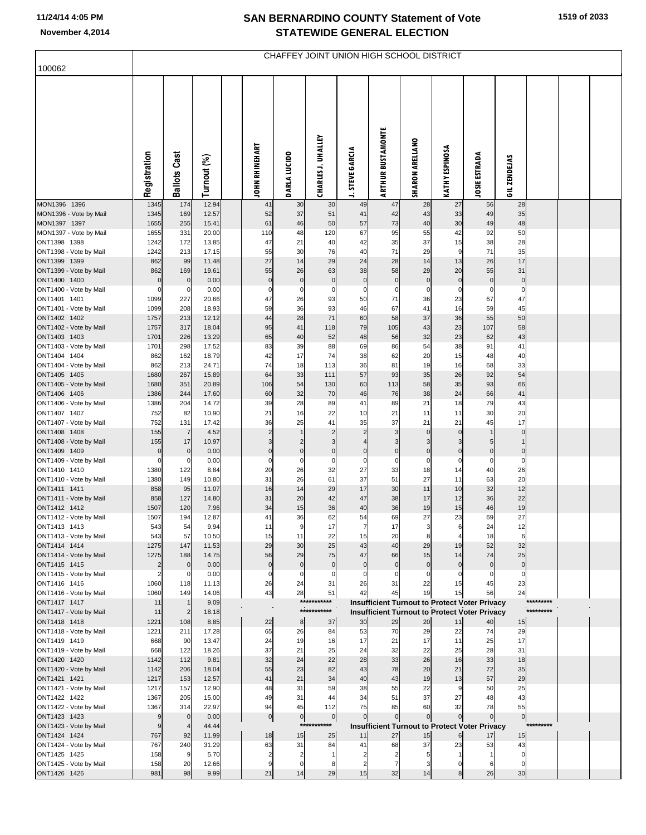| 100062                                 | CHAFFEY JOINT UNION HIGH SCHOOL DISTRICT |                               |                |  |                       |                        |                           |                        |                                                            |                          |                             |                      |                                |           |  |  |
|----------------------------------------|------------------------------------------|-------------------------------|----------------|--|-----------------------|------------------------|---------------------------|------------------------|------------------------------------------------------------|--------------------------|-----------------------------|----------------------|--------------------------------|-----------|--|--|
|                                        |                                          |                               |                |  |                       |                        |                           |                        |                                                            |                          |                             |                      |                                |           |  |  |
|                                        | Registration                             | Ballots Cast                  | Turnout (%)    |  | <b>JOHN RHINEHART</b> | <b>DARLA LUCIDO</b>    | <b>CHARLES J. UHALLEY</b> | <b>J. STEVE GARCIA</b> | <b>ARTHUR BUSTAMONTE</b>                                   | <b>SHARON ARELLANO</b>   | KATHY ESPINOSA              | <b>JOSIE ESTRADA</b> | GIL ZENDEJAS                   |           |  |  |
| MON1396 1396                           | 1345                                     | 174                           | 12.94          |  | 41                    | 30                     | 30                        | 49                     | 47                                                         | 28                       | 27                          | 56                   | 28                             |           |  |  |
| MON1396 - Vote by Mail<br>MON1397 1397 | 1345<br>1655                             | 169<br>255                    | 12.57<br>15.41 |  | 52<br>61              | 37<br>46               | 51<br>50                  | 41<br>57               | 42<br>73                                                   | 43<br>40                 | 33<br>30                    | 49<br>49             | 35<br>48                       |           |  |  |
| MON1397 - Vote by Mail                 | 1655                                     | 331                           | 20.00          |  | 110                   | 48                     | 120                       | 67                     | 95                                                         | 55                       | 42                          | 92                   | 50                             |           |  |  |
| ONT1398 1398<br>ONT1398 - Vote by Mail | 1242<br>1242                             | 172<br>213                    | 13.85<br>17.15 |  | 47<br>55              | 21<br>30               | 40<br>76                  | 42<br>40               | 35<br>71                                                   | 37<br>29                 | 15<br>$\boldsymbol{9}$      | 38<br>71             | 28<br>35                       |           |  |  |
| ONT1399 1399                           | 862                                      | 99                            | 11.48          |  | 27                    | 14                     | 29                        | 24                     | 28                                                         | 14                       | 13                          | 26                   | 17                             |           |  |  |
| ONT1399 - Vote by Mail                 | 862                                      | 169                           | 19.61          |  | 55                    | 26                     | 63                        | 38                     | 58                                                         | 29                       | 20                          | 55                   | 31                             |           |  |  |
| ONT1400 1400<br>ONT1400 - Vote by Mail | $\mathbf 0$<br>0                         | $\overline{0}$<br>$\mathbf 0$ | 0.00<br>0.00   |  | $\pmb{0}$<br>0        | $\pmb{0}$<br>0         | $\pmb{0}$<br>0            | $\pmb{0}$<br>0         | $\overline{0}$<br>$\mathbf 0$                              | $\pmb{0}$<br>0           | $\overline{0}$<br>$\pmb{0}$ | $\pmb{0}$<br>0       | $\overline{0}$<br>0            |           |  |  |
| ONT1401 1401                           | 1099                                     | 227                           | 20.66          |  | 47                    | 26                     | 93                        | 50                     | 71                                                         | 36                       | 23                          | 67                   | 47                             |           |  |  |
| ONT1401 - Vote by Mail                 | 1099                                     | 208                           | 18.93          |  | 59                    | 36                     | 93                        | 46                     | 67                                                         | 41                       | 16                          | 59                   | 45                             |           |  |  |
| ONT1402 1402<br>ONT1402 - Vote by Mail | 1757<br>1757                             | 213<br>317                    | 12.12<br>18.04 |  | 44<br>95              | 28<br>41               | 71<br>118                 | 60<br>79               | 58<br>105                                                  | 37<br>43                 | 36<br>23                    | 55<br>107            | 50<br>58                       |           |  |  |
| ONT1403 1403                           | 1701                                     | 226                           | 13.29          |  | 65                    | 40                     | 52                        | 48                     | 56                                                         | 32                       | 23                          | 62                   | 43                             |           |  |  |
| ONT1403 - Vote by Mail                 | 1701                                     | 298                           | 17.52          |  | 83                    | 39                     | 88                        | 69                     | 86                                                         | 54                       | 38                          | 91                   | 41                             |           |  |  |
| ONT1404 1404<br>ONT1404 - Vote by Mail | 862<br>862                               | 162<br>213                    | 18.79<br>24.71 |  | 42<br>74              | 17<br>18               | 74<br>113                 | 38<br>36               | 62<br>81                                                   | 20<br>19                 | 15<br>16                    | 48<br>68             | 40<br>33                       |           |  |  |
| ONT1405 1405                           | 1680                                     | 267                           | 15.89          |  | 64                    | 33                     | 111                       | 57                     | 93                                                         | 35                       | 26                          | 92                   | 54                             |           |  |  |
| ONT1405 - Vote by Mail<br>ONT1406 1406 | 1680<br>1386                             | 351<br>244                    | 20.89<br>17.60 |  | 106<br>60             | 54<br>32               | 130<br>70                 | 60<br>46               | 113<br>76                                                  | 58<br>38                 | 35<br>24                    | 93<br>66             | 66<br>41                       |           |  |  |
| ONT1406 - Vote by Mail                 | 1386                                     | 204                           | 14.72          |  | 39                    | 28                     | 89                        | 41                     | 89                                                         | 21                       | 18                          | 79                   | 43                             |           |  |  |
| ONT1407 1407                           | 752                                      | 82                            | 10.90          |  | 21                    | 16                     | 22                        | 10                     | 21                                                         | 11                       | 11                          | 30                   | 20                             |           |  |  |
| ONT1407 - Vote by Mail<br>ONT1408 1408 | 752<br>155                               | 131<br>$\overline{7}$         | 17.42<br>4.52  |  | 36<br>$\overline{2}$  | 25                     | 41<br>$\overline{2}$      | 35<br>$\overline{2}$   | 37<br>3                                                    | 21<br>$\mathbf 0$        | 21<br>$\pmb{0}$             | 45                   | 17<br>$\mathbf 0$              |           |  |  |
| ONT1408 - Vote by Mail                 | 155                                      | 17                            | 10.97          |  | 3                     | $\overline{2}$         | 3                         |                        | $\overline{3}$                                             | 3                        | $\overline{3}$              | $\sqrt{5}$           | $\mathbf{1}$                   |           |  |  |
| ONT1409 1409                           | $\mathbf 0$                              | $\overline{0}$                | 0.00           |  | $\mathbf 0$           | $\bf 0$<br>$\mathbf 0$ | $\pmb{0}$                 | $\pmb{0}$              | $\overline{0}$                                             | $\mathbf 0$              | $\overline{0}$              | $\pmb{0}$            | $\mathbf 0$                    |           |  |  |
| ONT1409 - Vote by Mail<br>ONT1410 1410 | 0<br>1380                                | $\mathbf 0$<br>122            | 0.00<br>8.84   |  | 0<br>20               | 26                     | 0<br>32                   | 0<br>27                | $\mathbf 0$<br>33                                          | 0<br>18                  | $\mathbf 0$<br>14           | 0<br>40              | 0<br>26                        |           |  |  |
| ONT1410 - Vote by Mail                 | 1380                                     | 149                           | 10.80          |  | 31                    | 26                     | 61                        | 37                     | 51                                                         | 27                       | 11                          | 63                   | 20                             |           |  |  |
| ONT1411 1411<br>ONT1411 - Vote by Mail | 858<br>858                               | 95<br>127                     | 11.07          |  | 16<br>31              | 14                     | 29                        | 17<br>47               | 30                                                         | 11<br>17                 | 10<br>12                    | 32<br>36             | 12<br>22                       |           |  |  |
| ONT1412 1412                           | 1507                                     | 120                           | 14.80<br>7.96  |  | 34                    | 20<br>15               | 42<br>36                  | 40                     | 38<br>36                                                   | 19                       | 15                          | 46                   | 19                             |           |  |  |
| ONT1412 - Vote by Mail                 | 1507                                     | 194                           | 12.87          |  | 41                    | 36                     | 62                        | 54                     | 69                                                         | 27                       | 23                          | 69                   | 27                             |           |  |  |
| ONT1413 1413<br>ONT1413 - Vote by Mail | 543<br>543                               | 54<br>57                      | 9.94<br>10.50  |  | 11<br>15              | 9<br>11                | 17<br>22                  | $\overline{7}$<br>15   | 17<br>20                                                   | 3<br>8                   | 6                           | 24<br>18             | 12<br>6                        |           |  |  |
| ONT1414 1414                           | 1275                                     | 147                           | 11.53          |  | 29                    | 30                     | 25                        | 43                     | 40                                                         | 29                       | 19                          | 52                   | 32                             |           |  |  |
| ONT1414 - Vote by Mail                 | 1275                                     | 188                           | 14.75<br>0.00  |  | 56<br>$\mathbf 0$     | 29<br>$\mathbf 0$      | 75                        | 47<br>$\mathbf{0}$     | 66                                                         | 15                       | 14<br>$\mathbf 0$           | 74<br>$\mathbf 0$    | 25                             |           |  |  |
| ONT1415 1415<br>ONT1415 - Vote by Mail | $\overline{c}$<br>$\overline{2}$         | $\mathbf 0$<br>$\mathbf 0$    | 0.00           |  | $\mathbf 0$           | $\mathbf 0$            | $\mathbf 0$<br>$\Omega$   | $\mathbf 0$            | $\overline{0}$<br>$\mathbf 0$                              | $\mathbf{0}$<br>$\Omega$ | $\Omega$                    | $\mathbf 0$          | $\overline{0}$<br>$\mathbf{0}$ |           |  |  |
| ONT1416 1416                           | 1060                                     | 118                           | 11.13          |  | 26                    | 24                     | 31                        | 26                     | 31                                                         | 22                       | 15                          | 45                   | 23                             |           |  |  |
| ONT1416 - Vote by Mail<br>ONT1417 1417 | 1060<br>11                               | 149                           | 14.06<br>9.09  |  | 43                    | 28                     | 51<br>***********         | 42                     | 45<br><b>Insufficient Turnout to Protect Voter Privacy</b> | 19                       | 15                          | 56                   | 24                             | ********* |  |  |
| ONT1417 - Vote by Mail                 | 11                                       | $\overline{2}$                | 18.18          |  |                       |                        | ***********               |                        | <b>Insufficient Turnout to Protect Voter Privacy</b>       |                          |                             |                      |                                | ********* |  |  |
| ONT1418 1418                           | 1221                                     | 108                           | 8.85           |  | 22                    | 8                      | 37                        | 30                     | 29                                                         | 20                       | 11                          | 40                   | 15                             |           |  |  |
| ONT1418 - Vote by Mail<br>ONT1419 1419 | 1221<br>668                              | 211<br>90                     | 17.28<br>13.47 |  | 65<br>24              | 26<br>19               | 84<br>16                  | 53<br>17               | 70<br>21                                                   | 29<br>17                 | 22<br>11                    | 74<br>25             | 29<br>17                       |           |  |  |
| ONT1419 - Vote by Mail                 | 668                                      | 122                           | 18.26          |  | 37                    | 21                     | 25                        | 24                     | 32                                                         | 22                       | 25                          | 28                   | 31                             |           |  |  |
| ONT1420 1420                           | 1142                                     | 112                           | 9.81           |  | 32                    | 24                     | 22                        | 28                     | 33                                                         | 26                       | 16                          | 33                   | 18                             |           |  |  |
| ONT1420 - Vote by Mail<br>ONT1421 1421 | 1142<br>1217                             | 206<br>153                    | 18.04<br>12.57 |  | 55<br>41              | 23<br>21               | 82<br>34                  | 43<br>40               | 78<br>43                                                   | 20<br>19                 | 21<br>13                    | 72<br>57             | 35<br>29                       |           |  |  |
| ONT1421 - Vote by Mail                 | 1217                                     | 157                           | 12.90          |  | 48                    | 31                     | 59                        | 38                     | 55                                                         | 22                       | 9                           | 50                   | 25                             |           |  |  |
| ONT1422 1422<br>ONT1422 - Vote by Mail | 1367<br>1367                             | 205<br>314                    | 15.00<br>22.97 |  | 49<br>94              | 31<br>45               | 44<br>112                 | 34<br>75               | 51<br>85                                                   | 37<br>60                 | 27<br>32                    | 48<br>78             | 43<br>55                       |           |  |  |
| ONT1423 1423                           | 9                                        | $\overline{0}$                | 0.00           |  | $\overline{0}$        | $\overline{0}$         | $\overline{0}$            | $\overline{0}$         | $\overline{0}$                                             | $\mathbf 0$              | $\overline{0}$              | $\mathbf 0$          | $\overline{0}$                 |           |  |  |
| ONT1423 - Vote by Mail                 | 9                                        | $\overline{4}$                | 44.44          |  |                       |                        | ***********               |                        | <b>Insufficient Turnout to Protect Voter Privacy</b>       |                          |                             |                      |                                | ********* |  |  |
| ONT1424 1424<br>ONT1424 - Vote by Mail | 767<br>767                               | 92<br>240                     | 11.99<br>31.29 |  | 18<br>63              | 15<br>31               | 25<br>84                  | 11<br>41               | 27<br>68                                                   | 15<br>37                 | 6<br>23                     | 17<br>53             | 15<br>43                       |           |  |  |
| ONT1425 1425                           | 158                                      | 9                             | 5.70           |  | $\overline{2}$        | $\overline{2}$         | $\mathbf{1}$              | 2                      | $\overline{2}$                                             | 5                        | 1                           |                      | $\mathbf 0$                    |           |  |  |
| ONT1425 - Vote by Mail                 | 158                                      | 20                            | 12.66          |  | 9                     | $\mathbf 0$            | 8                         | $\overline{2}$         | 7                                                          | 3                        | $\Omega$                    | 6                    | $\mathbf 0$                    |           |  |  |
| ONT1426 1426                           | 981                                      | 98                            | 9.99           |  | 21                    | 14                     | 29                        | 15                     | 32                                                         | 14                       | 8                           | 26                   | 30                             |           |  |  |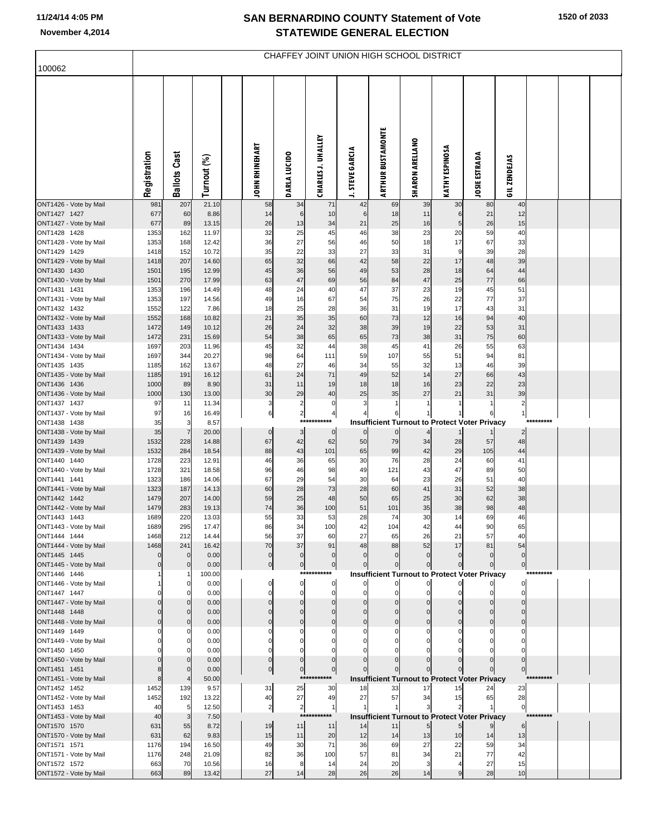| 100062                                 | CHAFFEY JOINT UNION HIGH SCHOOL DISTRICT |                                |                |  |                       |                         |                           |                        |                          |                        |                     |                                                      |                    |           |  |
|----------------------------------------|------------------------------------------|--------------------------------|----------------|--|-----------------------|-------------------------|---------------------------|------------------------|--------------------------|------------------------|---------------------|------------------------------------------------------|--------------------|-----------|--|
|                                        |                                          |                                |                |  |                       |                         |                           |                        |                          |                        |                     |                                                      |                    |           |  |
|                                        | Registration                             | <b>Ballots Cast</b>            | Turnout (%)    |  | <b>JOHN RHINEHART</b> | DARLA LUCIDO            | <b>CHARLES J. UHALLEY</b> | <b>J. STEVE GARCIA</b> | <b>ARTHUR BUSTAMONTE</b> | <b>SHARON ARELLANO</b> | KATHY ESPINOSA      | <b>JOSIE ESTRADA</b>                                 | <b>GILZENDEJAS</b> |           |  |
| ONT1426 - Vote by Mail                 | 981                                      | 207                            | 21.10          |  | 58                    | 34                      | 71                        | 42                     | 69                       | 39                     | 30                  | 80                                                   | 40                 |           |  |
| ONT1427 1427<br>ONT1427 - Vote by Mail | 677<br>677                               | 60<br>89                       | 8.86<br>13.15  |  | 14<br>26              | 6<br>13                 | 10<br>34                  | 6<br>21                | 18<br>25                 | 11<br>16               | 6<br>5 <sub>5</sub> | 21<br>26                                             | 12<br>15           |           |  |
| ONT1428 1428                           | 1353                                     | 162                            | 11.97          |  | 32                    | 25                      | 45                        | 46                     | 38                       | 23                     | 20                  | 59                                                   | 40                 |           |  |
| ONT1428 - Vote by Mail                 | 1353                                     | 168                            | 12.42          |  | 36                    | 27                      | 56                        | 46                     | 50                       | 18                     | 17                  | 67                                                   | 33                 |           |  |
| ONT1429 1429<br>ONT1429 - Vote by Mail | 1418<br>1418                             | 152<br>207                     | 10.72<br>14.60 |  | 35<br>65              | 22<br>32                | 33<br>66                  | 27<br>42               | 33<br>58                 | 31<br>22               | 9<br>17             | 39<br>48                                             | 28<br>39           |           |  |
| ONT1430 1430                           | 1501                                     | 195                            | 12.99          |  | 45                    | 36                      | 56                        | 49                     | 53                       | 28                     | 18                  | 64                                                   | 44                 |           |  |
| ONT1430 - Vote by Mail                 | 1501                                     | 270                            | 17.99          |  | 63                    | 47                      | 69                        | 56                     | 84                       | 47                     | 25                  | 77                                                   | 66                 |           |  |
| ONT1431 1431<br>ONT1431 - Vote by Mail | 1353<br>1353                             | 196<br>197                     | 14.49<br>14.56 |  | 48<br>49              | 24<br>16                | 40<br>67                  | 47<br>54               | 37<br>75                 | 23<br>26               | 19<br>22            | 45<br>77                                             | 51<br>37           |           |  |
| ONT1432 1432                           | 1552                                     | 122                            | 7.86           |  | 18                    | 25                      | 28                        | 36                     | 31                       | 19                     | 17                  | 43                                                   | 31                 |           |  |
| ONT1432 - Vote by Mail                 | 1552                                     | 168                            | 10.82          |  | 21                    | 35                      | 35                        | 60                     | 73                       | 12                     | 16                  | 94                                                   | 40                 |           |  |
| ONT1433 1433<br>ONT1433 - Vote by Mail | 1472<br>1472                             | 149<br>231                     | 10.12<br>15.69 |  | 26<br>54              | 24<br>38                | 32<br>65                  | 38<br>65               | 39<br>73                 | 19<br>38               | 22<br>31            | 53<br>75                                             | 31<br>60           |           |  |
| ONT1434 1434                           | 1697                                     | 203                            | 11.96          |  | 45                    | 32                      | 44                        | 38                     | 45                       | 41                     | 26                  | 55                                                   | 63                 |           |  |
| ONT1434 - Vote by Mail                 | 1697                                     | 344                            | 20.27          |  | 98                    | 64                      | 111                       | 59                     | 107                      | 55                     | 51                  | 94                                                   | 81                 |           |  |
| ONT1435 1435                           | 1185                                     | 162                            | 13.67          |  | 48                    | 27                      | 46                        | 34                     | 55                       | 32                     | 13                  | 46                                                   | 39                 |           |  |
| ONT1435 - Vote by Mail<br>ONT1436 1436 | 1185<br>1000                             | 191<br>89                      | 16.12<br>8.90  |  | 61<br>31              | 24<br>11                | 71<br>19                  | 49<br>18               | 52<br>18                 | 14<br>16               | 27<br>23            | 66<br>22                                             | 43<br>23           |           |  |
| ONT1436 - Vote by Mail                 | 1000                                     | 130                            | 13.00          |  | 30                    | 29                      | 40                        | 25                     | 35                       | 27                     | 21                  | 31                                                   | 39                 |           |  |
| ONT1437 1437                           | 97                                       | 11                             | 11.34          |  | 3                     | $\overline{\mathbf{c}}$ | $\mathbf 0$               | 3                      | 1                        | 1                      |                     |                                                      | $\overline{2}$     |           |  |
| ONT1437 - Vote by Mail<br>ONT1438 1438 | 97<br>35                                 | 16<br>3                        | 16.49<br>8.57  |  | 6                     | $\overline{\mathbf{c}}$ | 4<br>***********          |                        | 6                        | $\mathbf{1}$           |                     | <b>Insufficient Turnout to Protect Voter Privacy</b> | 1                  | ********* |  |
| ONT1438 - Vote by Mail                 | 35                                       | $\overline{7}$                 | 20.00          |  | $\mathbf 0$           | $\mathbf{3}$            | $\mathbf 0$               | $\mathbf 0$            | $\overline{0}$           |                        |                     |                                                      | 2                  |           |  |
| ONT1439 1439                           | 1532                                     | 228                            | 14.88          |  | 67                    | 42                      | 62                        | 50                     | 79                       | 34                     | 28                  | 57                                                   | 48                 |           |  |
| ONT1439 - Vote by Mail<br>ONT1440 1440 | 1532<br>1728                             | 284<br>223                     | 18.54<br>12.91 |  | 88<br>46              | 43<br>36                | 101<br>65                 | 65<br>30               | 99<br>76                 | 42<br>28               | 29<br>24            | 105<br>60                                            | 44<br>41           |           |  |
| ONT1440 - Vote by Mail                 | 1728                                     | 321                            | 18.58          |  | 96                    | 46                      | 98                        | 49                     | 121                      | 43                     | 47                  | 89                                                   | 50                 |           |  |
| ONT1441 1441                           | 1323                                     | 186                            | 14.06          |  | 67                    | 29                      | 54                        | 30                     | 64                       | 23                     | 26                  | 51                                                   | 40                 |           |  |
| ONT1441 - Vote by Mail<br>ONT1442 1442 | 1323<br>1479                             | 187<br>207                     | 14.13<br>14.00 |  | 60<br>59              | 28<br>25                | 73<br>48                  | 28<br>50               | 60<br>65                 | 41<br>25               | 31<br>30            | 52<br>62                                             | 38<br>38           |           |  |
| ONT1442 - Vote by Mail                 | 1479                                     | 283                            | 19.13          |  | 74                    | 36                      | 100                       | 51                     | 101                      | 35                     | 38                  | 98                                                   | 48                 |           |  |
| ONT1443 1443                           | 1689                                     | 220                            | 13.03          |  | 55                    | 33                      | 53                        | 28                     | 74                       | 30                     | 14                  | 69                                                   | 46                 |           |  |
| ONT1443 - Vote by Mail<br>ONT1444 1444 | 1689<br>1468                             | 295<br>212                     | 17.47<br>14.44 |  | 86<br>56              | 34<br>37                | 100<br>60                 | 42<br>27               | 104<br>65                | 42<br>26               | 44<br>21            | 90<br>57                                             | 65<br>40           |           |  |
| ONT1444 - Vote by Mail                 | 1468                                     | 241                            | 16.42          |  | 70                    | 37                      | 91                        | 48                     | 88                       | 52                     | 17                  | 81                                                   | 54                 |           |  |
| ONT1445 1445                           | $\mathbf{0}$                             | $\mathbf{0}$                   | 0.00           |  | $\overline{0}$        | $\mathbf{0}$            | $\mathbf 0$               | $\Omega$               | $\overline{0}$           | $\mathbf 0$            | $\mathbf 0$         | $\mathbf 0$                                          | $\overline{0}$     |           |  |
| ONT1445 - Vote by Mail<br>ONT1446 1446 | $\mathbf{0}$                             | $\Omega$                       | 0.00<br>100.00 |  | $\overline{0}$        | $\mathbf 0$             | $\Omega$<br>***********   |                        | $\mathbf 0$              | $\Omega$               |                     | $\Omega$                                             | $\overline{0}$     | ********* |  |
| ONT1446 - Vote by Mail                 |                                          | <sup>0</sup>                   | 0.00           |  | $\mathbf 0$           | 0                       | $\overline{0}$            | 0                      | <sub>0</sub>             | $\mathbf 0$            | $\mathbf{0}$        | <b>Insufficient Turnout to Protect Voter Privacy</b> | $\mathbf{0}$       |           |  |
| ONT1447 1447                           |                                          | $\Omega$                       | 0.00           |  | $\Omega$              | $\mathbf 0$             | $\mathbf{0}$              |                        | $\Omega$                 |                        |                     |                                                      | $\Omega$           |           |  |
| ONT1447 - Vote by Mail                 | $\Omega$                                 | $\mathbf{0}$<br>$\overline{0}$ | 0.00<br>0.00   |  | $\Omega$              | $\Omega$<br>$\Omega$    | $\Omega$<br>$\Omega$      |                        | $\Omega$                 |                        |                     |                                                      | $\Omega$           |           |  |
| ONT1448 1448<br>ONT1448 - Vote by Mail |                                          | $\mathbf{0}$                   | 0.00           |  |                       | $\mathcal{C}$           | $\Omega$                  |                        |                          |                        |                     |                                                      | $\Omega$           |           |  |
| ONT1449 1449                           |                                          | $\mathbf 0$                    | 0.00           |  | C                     | $\mathcal{C}$           | $\Omega$                  |                        |                          |                        |                     |                                                      | 0                  |           |  |
| ONT1449 - Vote by Mail                 |                                          | 0                              | 0.00           |  |                       |                         |                           |                        |                          |                        |                     |                                                      |                    |           |  |
| ONT1450 1450<br>ONT1450 - Vote by Mail |                                          | $\Omega$                       | 0.00<br>0.00   |  | $\Omega$<br>$\Omega$  | $\mathcal{C}$           |                           |                        |                          |                        |                     |                                                      |                    |           |  |
| ONT1451 1451                           | 8                                        | $\mathbf{0}$                   | 0.00           |  | $\overline{0}$        | $\mathbf 0$             | $\Omega$                  |                        |                          |                        |                     |                                                      | $\Omega$           |           |  |
| ONT1451 - Vote by Mail                 | 8                                        |                                | 50.00          |  |                       | ***                     | *******                   |                        |                          |                        |                     | <b>Insufficient Turnout to Protect Voter Privacy</b> |                    | ********* |  |
| ONT1452 1452<br>ONT1452 - Vote by Mail | 1452<br>1452                             | 139<br>192                     | 9.57<br>13.22  |  | 31<br>40              | 25<br>27                | 30<br>49                  | 18<br>27               | 33<br>57                 | 17<br>34               | 15<br>15            | 24<br>65                                             | 23<br>28           |           |  |
| ONT1453 1453                           | 40                                       | 5                              | 12.50          |  | $\overline{a}$        | $\overline{c}$          | 1                         |                        | $\mathbf{1}$             | 3                      | $\overline{2}$      |                                                      | $\overline{0}$     |           |  |
| ONT1453 - Vote by Mail                 | 40                                       | 3                              | 7.50           |  |                       | ***                     | *******                   |                        |                          |                        |                     | <b>Insufficient Turnout to Protect Voter Privacy</b> |                    | ********* |  |
| ONT1570 1570<br>ONT1570 - Vote by Mail | 631<br>631                               | 55<br>62                       | 8.72<br>9.83   |  | 19<br>15              | 11<br>11                | 11<br>20                  | 14<br>12               | 11<br>14                 | 13                     | 10                  | 14                                                   | 6<br>13            |           |  |
| ONT1571 1571                           | 1176                                     | 194                            | 16.50          |  | 49                    | 30                      | 71                        | 36                     | 69                       | 27                     | 22                  | 59                                                   | 34                 |           |  |
| ONT1571 - Vote by Mail                 | 1176                                     | 248                            | 21.09          |  | 82                    | 36                      | 100                       | 57                     | 81                       | 34                     | 21                  | 77                                                   | 42                 |           |  |
| ONT1572 1572                           | 663<br>663                               | 70<br>89                       | 10.56<br>13.42 |  | 16<br>27              | 8<br>14                 | 14<br>28                  | 24<br>26               | 20<br>26                 | 3<br>14                | $\overline{4}$<br>9 | 27<br>28                                             | 15<br>10           |           |  |
| ONT1572 - Vote by Mail                 |                                          |                                |                |  |                       |                         |                           |                        |                          |                        |                     |                                                      |                    |           |  |